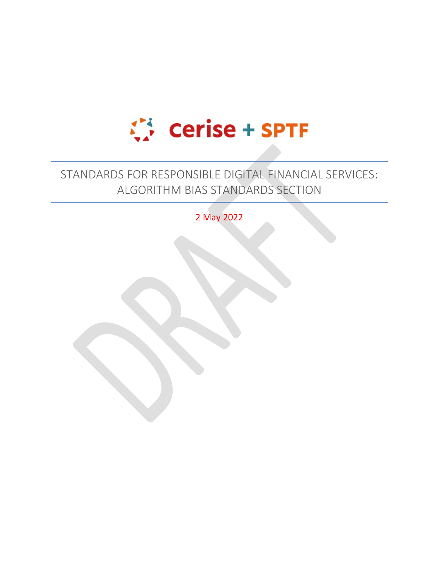

# STANDARDS FOR RESPONSIBLE DIGITAL FINANCIAL SERVICES: ALGORITHM BIAS STANDARDS SECTION

2 May 2022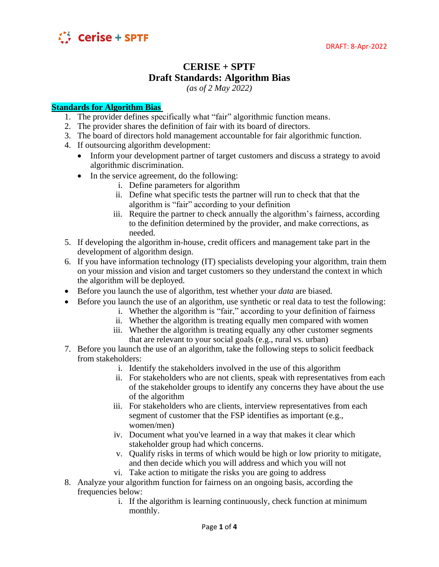

## **CERISE + SPTF Draft Standards: Algorithm Bias**

*(as of 2 May 2022)*

#### **Standards for Algorithm Bias**

- 1. The provider defines specifically what "fair" algorithmic function means.
- 2. The provider shares the definition of fair with its board of directors.
- 3. The board of directors hold management accountable for fair algorithmic function.
- 4. If outsourcing algorithm development:
	- Inform your development partner of target customers and discuss a strategy to avoid algorithmic discrimination.
	- In the service agreement, do the following:
		- i. Define parameters for algorithm
		- ii. Define what specific tests the partner will run to check that that the algorithm is "fair" according to your definition
		- iii. Require the partner to check annually the algorithm's fairness, according to the definition determined by the provider, and make corrections, as needed.
- 5. If developing the algorithm in-house, credit officers and management take part in the development of algorithm design.
- 6. If you have information technology (IT) specialists developing your algorithm, train them on your mission and vision and target customers so they understand the context in which the algorithm will be deployed.
- Before you launch the use of algorithm, test whether your *data* are biased.
- Before you launch the use of an algorithm, use synthetic or real data to test the following:
	- i. Whether the algorithm is "fair," according to your definition of fairness
	- ii. Whether the algorithm is treating equally men compared with women
	- iii. Whether the algorithm is treating equally any other customer segments that are relevant to your social goals (e.g., rural vs. urban)
- 7. Before you launch the use of an algorithm, take the following steps to solicit feedback from stakeholders:
	- i. Identify the stakeholders involved in the use of this algorithm
	- ii. For stakeholders who are not clients, speak with representatives from each of the stakeholder groups to identify any concerns they have about the use of the algorithm
	- iii. For stakeholders who are clients, interview representatives from each segment of customer that the FSP identifies as important (e.g., women/men)
	- iv. Document what you've learned in a way that makes it clear which stakeholder group had which concerns.
	- v. Qualify risks in terms of which would be high or low priority to mitigate, and then decide which you will address and which you will not
	- vi. Take action to mitigate the risks you are going to address
- 8. Analyze your algorithm function for fairness on an ongoing basis, according the frequencies below:
	- i. If the algorithm is learning continuously, check function at minimum monthly.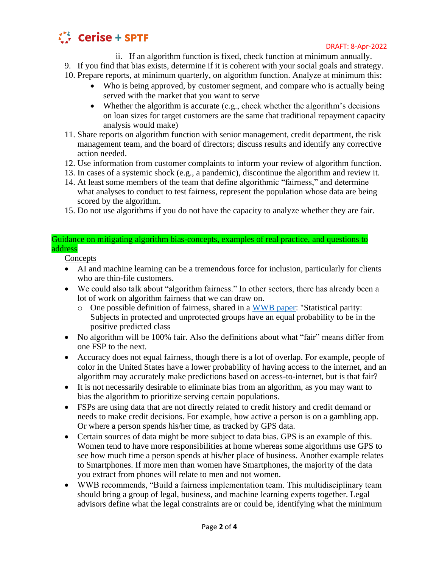

#### DRAFT: 8-Apr-2022

- ii. If an algorithm function is fixed, check function at minimum annually.
- 9. If you find that bias exists, determine if it is coherent with your social goals and strategy.
- 10. Prepare reports, at minimum quarterly, on algorithm function. Analyze at minimum this:
	- Who is being approved, by customer segment, and compare who is actually being served with the market that you want to serve
	- Whether the algorithm is accurate (e.g., check whether the algorithm's decisions on loan sizes for target customers are the same that traditional repayment capacity analysis would make)
- 11. Share reports on algorithm function with senior management, credit department, the risk management team, and the board of directors; discuss results and identify any corrective action needed.
- 12. Use information from customer complaints to inform your review of algorithm function.
- 13. In cases of a systemic shock (e.g., a pandemic), discontinue the algorithm and review it.
- 14. At least some members of the team that define algorithmic "fairness," and determine what analyses to conduct to test fairness, represent the population whose data are being scored by the algorithm.
- 15. Do not use algorithms if you do not have the capacity to analyze whether they are fair.

#### Guidance on mitigating algorithm bias-concepts, examples of real practice, and questions to address

**Concepts** 

- AI and machine learning can be a tremendous force for inclusion, particularly for clients who are thin-file customers.
- We could also talk about "algorithm fairness." In other sectors, there has already been a lot of work on algorithm fairness that we can draw on.
	- o One possible definition of fairness, shared in a [WWB paper:](https://www.womensworldbanking.org/wp-content/uploads/2021/02/2021_Algorithmic_Bias_Report.pdf) "Statistical parity: Subjects in protected and unprotected groups have an equal probability to be in the positive predicted class
- No algorithm will be 100% fair. Also the definitions about what "fair" means differ from one FSP to the next.
- Accuracy does not equal fairness, though there is a lot of overlap. For example, people of color in the United States have a lower probability of having access to the internet, and an algorithm may accurately make predictions based on access-to-internet, but is that fair?
- It is not necessarily desirable to eliminate bias from an algorithm, as you may want to bias the algorithm to prioritize serving certain populations.
- FSPs are using data that are not directly related to credit history and credit demand or needs to make credit decisions. For example, how active a person is on a gambling app. Or where a person spends his/her time, as tracked by GPS data.
- Certain sources of data might be more subject to data bias. GPS is an example of this. Women tend to have more responsibilities at home whereas some algorithms use GPS to see how much time a person spends at his/her place of business. Another example relates to Smartphones. If more men than women have Smartphones, the majority of the data you extract from phones will relate to men and not women.
- WWB recommends, "Build a fairness implementation team. This multidisciplinary team should bring a group of legal, business, and machine learning experts together. Legal advisors define what the legal constraints are or could be, identifying what the minimum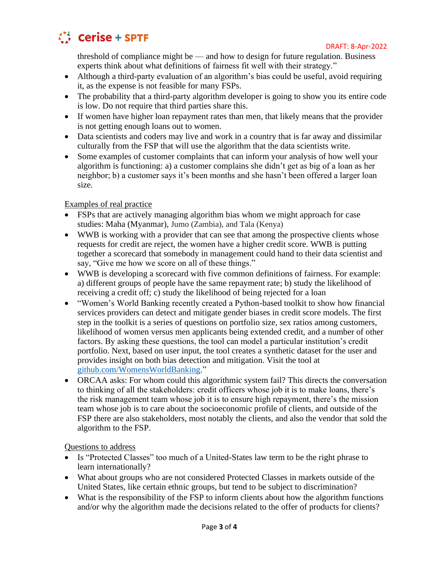

threshold of compliance might be — and how to design for future regulation. Business experts think about what definitions of fairness fit well with their strategy."

- Although a third-party evaluation of an algorithm's bias could be useful, avoid requiring it, as the expense is not feasible for many FSPs.
- The probability that a third-party algorithm developer is going to show you its entire code is low. Do not require that third parties share this.
- If women have higher loan repayment rates than men, that likely means that the provider is not getting enough loans out to women.
- Data scientists and coders may live and work in a country that is far away and dissimilar culturally from the FSP that will use the algorithm that the data scientists write.
- Some examples of customer complaints that can inform your analysis of how well your algorithm is functioning: a) a customer complains she didn't get as big of a loan as her neighbor; b) a customer says it's been months and she hasn't been offered a larger loan size.

### Examples of real practice

- FSPs that are actively managing algorithm bias whom we might approach for case studies: Maha (Myanmar), Jumo (Zambia), and Tala (Kenya)
- WWB is working with a provider that can see that among the prospective clients whose requests for credit are reject, the women have a higher credit score. WWB is putting together a scorecard that somebody in management could hand to their data scientist and say, "Give me how we score on all of these things."
- WWB is developing a scorecard with five common definitions of fairness. For example: a) different groups of people have the same repayment rate; b) study the likelihood of receiving a credit off; c) study the likelihood of being rejected for a loan
- "Women's World Banking recently created a Python-based toolkit to show how financial services providers can detect and mitigate gender biases in credit score models. The first step in the toolkit is a series of questions on portfolio size, sex ratios among customers, likelihood of women versus men applicants being extended credit, and a number of other factors. By asking these questions, the tool can model a particular institution's credit portfolio. Next, based on user input, the tool creates a synthetic dataset for the user and provides insight on both bias detection and mitigation. Visit the tool at [github.com/WomensWorldBanking.](github.com/WomensWorldBanking)"
- ORCAA asks: For whom could this algorithmic system fail? This directs the conversation to thinking of all the stakeholders: credit officers whose job it is to make loans, there's the risk management team whose job it is to ensure high repayment, there's the mission team whose job is to care about the socioeconomic profile of clients, and outside of the FSP there are also stakeholders, most notably the clients, and also the vendor that sold the algorithm to the FSP.

Questions to address

- Is "Protected Classes" too much of a United-States law term to be the right phrase to learn internationally?
- What about groups who are not considered Protected Classes in markets outside of the United States, like certain ethnic groups, but tend to be subject to discrimination?
- What is the responsibility of the FSP to inform clients about how the algorithm functions and/or why the algorithm made the decisions related to the offer of products for clients?